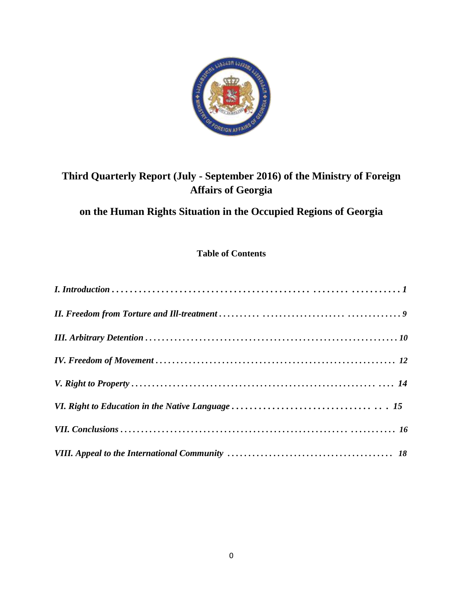

# **Third Quarterly Report (July - September 2016) of the Ministry of Foreign Affairs of Georgia**

# **on the Human Rights Situation in the Occupied Regions of Georgia**

# **Table of Contents**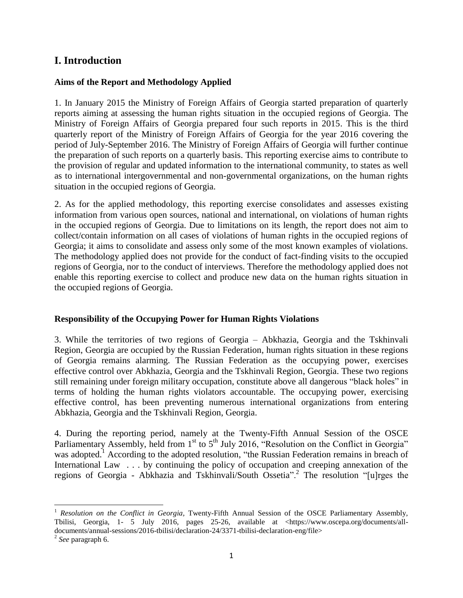# **I. Introduction**

#### **Aims of the Report and Methodology Applied**

1. In January 2015 the Ministry of Foreign Affairs of Georgia started preparation of quarterly reports aiming at assessing the human rights situation in the occupied regions of Georgia. The Ministry of Foreign Affairs of Georgia prepared four such reports in 2015. This is the third quarterly report of the Ministry of Foreign Affairs of Georgia for the year 2016 covering the period of July-September 2016. The Ministry of Foreign Affairs of Georgia will further continue the preparation of such reports on a quarterly basis. This reporting exercise aims to contribute to the provision of regular and updated information to the international community, to states as well as to international intergovernmental and non-governmental organizations, on the human rights situation in the occupied regions of Georgia.

2. As for the applied methodology, this reporting exercise consolidates and assesses existing information from various open sources, national and international, on violations of human rights in the occupied regions of Georgia. Due to limitations on its length, the report does not aim to collect/contain information on all cases of violations of human rights in the occupied regions of Georgia; it aims to consolidate and assess only some of the most known examples of violations. The methodology applied does not provide for the conduct of fact-finding visits to the occupied regions of Georgia, nor to the conduct of interviews. Therefore the methodology applied does not enable this reporting exercise to collect and produce new data on the human rights situation in the occupied regions of Georgia.

#### **Responsibility of the Occupying Power for Human Rights Violations**

3. While the territories of two regions of Georgia – Abkhazia, Georgia and the Tskhinvali Region, Georgia are occupied by the Russian Federation, human rights situation in these regions of Georgia remains alarming. The Russian Federation as the occupying power, exercises effective control over Abkhazia, Georgia and the Tskhinvali Region, Georgia. These two regions still remaining under foreign military occupation, constitute above all dangerous "black holes" in terms of holding the human rights violators accountable. The occupying power, exercising effective control, has been preventing numerous international organizations from entering Abkhazia, Georgia and the Tskhinvali Region, Georgia.

4. During the reporting period, namely at the Twenty-Fifth Annual Session of the OSCE Parliamentary Assembly, held from 1<sup>st</sup> to 5<sup>th</sup> July 2016, "Resolution on the Conflict in Georgia" was adopted.<sup>1</sup> According to the adopted resolution, "the Russian Federation remains in breach of International Law . . . by continuing the policy of occupation and creeping annexation of the regions of Georgia - Abkhazia and Tskhinvali/South Ossetia".<sup>2</sup> The resolution "[u]rges the

<sup>&</sup>lt;sup>1</sup> *Resolution on the Conflict in Georgia*, Twenty-Fifth Annual Session of the OSCE Parliamentary Assembly, Tbilisi, Georgia, 1- 5 July 2016, pages 25-26, available at <https://www.oscepa.org/documents/alldocuments/annual-sessions/2016-tbilisi/declaration-24/3371-tbilisi-declaration-eng/file>

<sup>2</sup> *See* paragraph 6.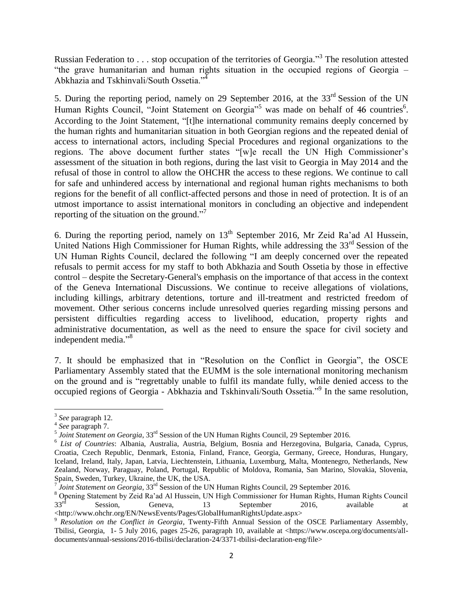Russian Federation to . . . stop occupation of the territories of Georgia."<sup>3</sup> The resolution attested "the grave humanitarian and human rights situation in the occupied regions of Georgia – Abkhazia and Tskhinvali/South Ossetia."<sup>4</sup>

5. During the reporting period, namely on 29 September 2016, at the 33<sup>rd</sup> Session of the UN Human Rights Council, "Joint Statement on Georgia"<sup>5</sup> was made on behalf of 46 countries<sup>6</sup>. According to the Joint Statement, "[t]he international community remains deeply concerned by the human rights and humanitarian situation in both Georgian regions and the repeated denial of access to international actors, including Special Procedures and regional organizations to the regions. The above document further states "[w]e recall the UN High Commissioner's assessment of the situation in both regions, during the last visit to Georgia in May 2014 and the refusal of those in control to allow the OHCHR the access to these regions. We continue to call for safe and unhindered access by international and regional human rights mechanisms to both regions for the benefit of all conflict-affected persons and those in need of protection. It is of an utmost importance to assist international monitors in concluding an objective and independent reporting of the situation on the ground."<sup>7</sup>

6. During the reporting period, namely on  $13<sup>th</sup>$  September 2016, Mr Zeid Ra'ad Al Hussein, United Nations High Commissioner for Human Rights, while addressing the 33<sup>rd</sup> Session of the UN Human Rights Council, declared the following "I am deeply concerned over the repeated refusals to permit access for my staff to both Abkhazia and South Ossetia by those in effective control – despite the Secretary-General's emphasis on the importance of that access in the context of the Geneva International Discussions. We continue to receive allegations of violations, including killings, arbitrary detentions, torture and ill-treatment and restricted freedom of movement. Other serious concerns include unresolved queries regarding missing persons and persistent difficulties regarding access to livelihood, education, property rights and administrative documentation, as well as the need to ensure the space for civil society and independent media."<sup>8</sup>

7. It should be emphasized that in "Resolution on the Conflict in Georgia", the OSCE Parliamentary Assembly stated that the EUMM is the sole international monitoring mechanism on the ground and is "regrettably unable to fulfil its mandate fully, while denied access to the occupied regions of Georgia - Abkhazia and Tskhinvali/South Ossetia."<sup>9</sup> In the same resolution,

l

<sup>3</sup> *See* paragraph 12.

<sup>4</sup> *See* paragraph 7.

<sup>&</sup>lt;sup>5</sup> Joint Statement on Georgia, 33<sup>rd</sup> Session of the UN Human Rights Council, 29 September 2016.

<sup>&</sup>lt;sup>6</sup> List of Countries: Albania, Australia, Austria, Belgium, Bosnia and Herzegovina, Bulgaria, Canada, Cyprus, Croatia, Czech Republic, Denmark, Estonia, Finland, France, Georgia, Germany, Greece, Honduras, Hungary, Iceland, Ireland, Italy, Japan, Latvia, Liechtenstein, Lithuania, Luxemburg, Malta, Montenegro, Netherlands, New Zealand, Norway, Paraguay, Poland, Portugal, Republic of Moldova, Romania, San Marino, Slovakia, Slovenia, Spain, Sweden, Turkey, Ukraine, the UK, the USA.

<sup>7</sup> *Joint Statement on Georgia*, 33<sup>rd</sup> Session of the UN Human Rights Council, 29 September 2016.

<sup>&</sup>lt;sup>8</sup> Opening Statement by Zeid Ra'ad Al Hussein, UN High Commissioner for Human Rights, Human Rights Council<br>33<sup>rd</sup> Session. Geneva. 13 September 2016 available at  $33<sup>rd</sup>$  Session, Geneva, 13 September 2016, available at <http://www.ohchr.org/EN/NewsEvents/Pages/GlobalHumanRightsUpdate.aspx>

<sup>9</sup> *Resolution on the Conflict in Georgia,* Twenty-Fifth Annual Session of the OSCE Parliamentary Assembly, Tbilisi, Georgia, 1- 5 July 2016, pages 25-26, paragraph 10, available at <https://www.oscepa.org/documents/alldocuments/annual-sessions/2016-tbilisi/declaration-24/3371-tbilisi-declaration-eng/file>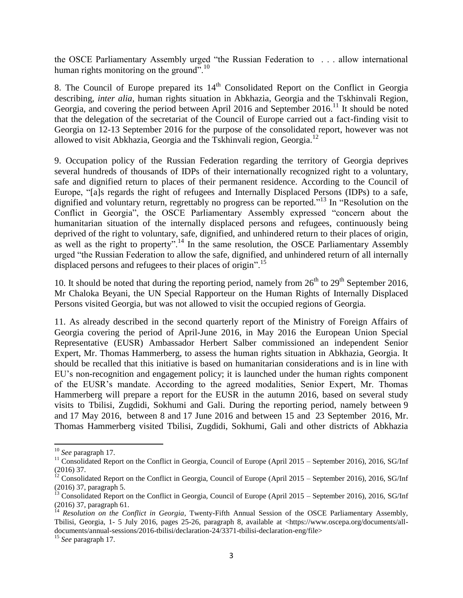the OSCE Parliamentary Assembly urged "the Russian Federation to . . . allow international human rights monitoring on the ground".<sup>10</sup>

8. The Council of Europe prepared its  $14<sup>th</sup>$  Consolidated Report on the Conflict in Georgia describing, *inter alia,* human rights situation in Abkhazia, Georgia and the Tskhinvali Region, Georgia, and covering the period between April 2016 and September  $2016$ <sup>11</sup> It should be noted that the delegation of the secretariat of the Council of Europe carried out a fact-finding visit to Georgia on 12-13 September 2016 for the purpose of the consolidated report, however was not allowed to visit Abkhazia, Georgia and the Tskhinvali region, Georgia.<sup>12</sup>

9. Occupation policy of the Russian Federation regarding the territory of Georgia deprives several hundreds of thousands of IDPs of their internationally recognized right to a voluntary, safe and dignified return to places of their permanent residence. According to the Council of Europe, "[a]s regards the right of refugees and Internally Displaced Persons (IDPs) to a safe, dignified and voluntary return, regrettably no progress can be reported." <sup>13</sup> In "Resolution on the Conflict in Georgia", the OSCE Parliamentary Assembly expressed "concern about the humanitarian situation of the internally displaced persons and refugees, continuously being deprived of the right to voluntary, safe, dignified, and unhindered return to their places of origin, as well as the right to property".<sup>14</sup> In the same resolution, the OSCE Parliamentary Assembly urged "the Russian Federation to allow the safe, dignified, and unhindered return of all internally displaced persons and refugees to their places of origin".<sup>15</sup>

10. It should be noted that during the reporting period, namely from  $26<sup>th</sup>$  to  $29<sup>th</sup>$  September 2016, Mr Chaloka Beyani, the UN Special Rapporteur on the Human Rights of Internally Displaced Persons visited Georgia, but was not allowed to visit the occupied regions of Georgia.

11. As already described in the second quarterly report of the Ministry of Foreign Affairs of Georgia covering the period of April-June 2016, in May 2016 the European Union Special Representative (EUSR) Ambassador Herbert Salber commissioned an independent Senior Expert, Mr. Thomas Hammerberg, to assess the human rights situation in Abkhazia, Georgia. It should be recalled that this initiative is based on humanitarian considerations and is in line with EU's non-recognition and engagement policy; it is launched under the human rights component of the EUSR's mandate. According to the agreed modalities, Senior Expert, Mr. Thomas Hammerberg will prepare a report for the EUSR in the autumn 2016, based on several study visits to Tbilisi, Zugdidi, Sokhumi and Gali. During the reporting period, namely between 9 and 17 May 2016, between 8 and 17 June 2016 and between 15 and 23 September 2016, Mr. Thomas Hammerberg visited Tbilisi, Zugdidi, Sokhumi, Gali and other districts of Abkhazia

 $\overline{a}$ 

<sup>10</sup> *See* paragraph 17.

<sup>&</sup>lt;sup>11</sup> Consolidated Report on the Conflict in Georgia, Council of Europe (April 2015 – September 2016), 2016, SG/Inf (2016) 37.

 $12$  Consolidated Report on the Conflict in Georgia, Council of Europe (April 2015 – September 2016), 2016, SG/Inf (2016) 37, paragraph 5.

<sup>&</sup>lt;sup>13</sup> Consolidated Report on the Conflict in Georgia, Council of Europe (April 2015 – September 2016), 2016, SG/Inf (2016) 37, paragraph 61.

<sup>&</sup>lt;sup>14</sup> *Resolution on the Conflict in Georgia*, Twenty-Fifth Annual Session of the OSCE Parliamentary Assembly, Tbilisi, Georgia, 1- 5 July 2016, pages 25-26, paragraph 8, available at <https://www.oscepa.org/documents/alldocuments/annual-sessions/2016-tbilisi/declaration-24/3371-tbilisi-declaration-eng/file>

<sup>15</sup> *See* paragraph 17.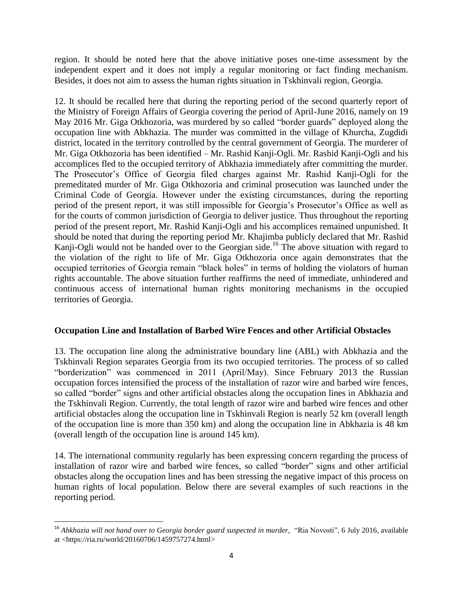region. It should be noted here that the above initiative poses one-time assessment by the independent expert and it does not imply a regular monitoring or fact finding mechanism. Besides, it does not aim to assess the human rights situation in Tskhinvali region, Georgia.

12. It should be recalled here that during the reporting period of the second quarterly report of the Ministry of Foreign Affairs of Georgia covering the period of April-June 2016, namely on 19 May 2016 Mr. Giga Otkhozoria, was murdered by so called "border guards" deployed along the occupation line with Abkhazia. The murder was committed in the village of Khurcha, Zugdidi district, located in the territory controlled by the central government of Georgia. The murderer of Mr. Giga Otkhozoria has been identified – Mr. Rashid Kanji-Ogli. Mr. Rashid Kanji-Ogli and his accomplices fled to the occupied territory of Abkhazia immediately after committing the murder. The Prosecutor's Office of Georgia filed charges against Mr. Rashid Kanji-Ogli for the premeditated murder of Mr. Giga Otkhozoria and criminal prosecution was launched under the Criminal Code of Georgia. However under the existing circumstances, during the reporting period of the present report, it was still impossible for Georgia's Prosecutor's Office as well as for the courts of common jurisdiction of Georgia to deliver justice. Thus throughout the reporting period of the present report, Mr. Rashid Kanji-Ogli and his accomplices remained unpunished. It should be noted that during the reporting period Mr. Khajimba publicly declared that Mr. Rashid Kanji-Ogli would not be handed over to the Georgian side.<sup>16</sup> The above situation with regard to the violation of the right to life of Mr. Giga Otkhozoria once again demonstrates that the occupied territories of Georgia remain "black holes" in terms of holding the violators of human rights accountable. The above situation further reaffirms the need of immediate, unhindered and continuous access of international human rights monitoring mechanisms in the occupied territories of Georgia.

#### **Occupation Line and Installation of Barbed Wire Fences and other Artificial Obstacles**

13. The occupation line along the administrative boundary line (ABL) with Abkhazia and the Tskhinvali Region separates Georgia from its two occupied territories. The process of so called "borderization" was commenced in 2011 (April/May). Since February 2013 the Russian occupation forces intensified the process of the installation of razor wire and barbed wire fences, so called "border" signs and other artificial obstacles along the occupation lines in Abkhazia and the Tskhinvali Region. Currently, the total length of razor wire and barbed wire fences and other artificial obstacles along the occupation line in Tskhinvali Region is nearly 52 km (overall length of the occupation line is more than 350 km) and along the occupation line in Abkhazia is 48 km (overall length of the occupation line is around 145 km).

14. The international community regularly has been expressing concern regarding the process of installation of razor wire and barbed wire fences, so called "border" signs and other artificial obstacles along the occupation lines and has been stressing the negative impact of this process on human rights of local population. Below there are several examples of such reactions in the reporting period.

l <sup>16</sup> Abkhazia will not hand over to Georgia border guard suspected in murder, "Ria Novosti", 6 July 2016, available at <https://ria.ru/world/20160706/1459757274.html>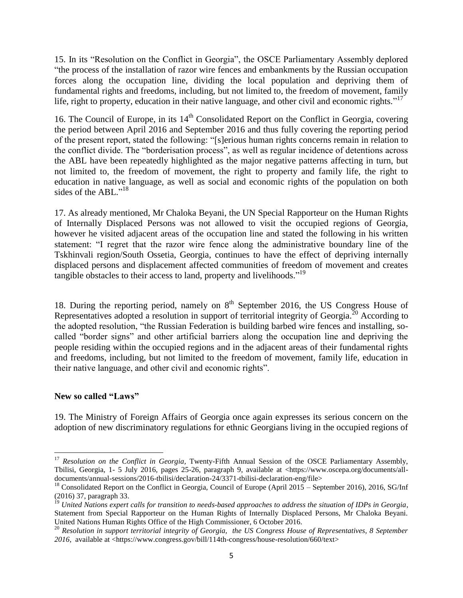15. In its "Resolution on the Conflict in Georgia", the OSCE Parliamentary Assembly deplored "the process of the installation of razor wire fences and embankments by the Russian occupation forces along the occupation line, dividing the local population and depriving them of fundamental rights and freedoms, including, but not limited to, the freedom of movement, family life, right to property, education in their native language, and other civil and economic rights."<sup>17</sup>

16. The Council of Europe, in its  $14<sup>th</sup>$  Consolidated Report on the Conflict in Georgia, covering the period between April 2016 and September 2016 and thus fully covering the reporting period of the present report, stated the following: "[s]erious human rights concerns remain in relation to the conflict divide. The "borderisation process", as well as regular incidence of detentions across the ABL have been repeatedly highlighted as the major negative patterns affecting in turn, but not limited to, the freedom of movement, the right to property and family life, the right to education in native language, as well as social and economic rights of the population on both sides of the ABL."<sup>18</sup>

17. As already mentioned, Mr Chaloka Beyani, the UN Special Rapporteur on the Human Rights of Internally Displaced Persons was not allowed to visit the occupied regions of Georgia, however he visited adjacent areas of the occupation line and stated the following in his written statement: "I regret that the razor wire fence along the administrative boundary line of the Tskhinvali region/South Ossetia, Georgia, continues to have the effect of depriving internally displaced persons and displacement affected communities of freedom of movement and creates tangible obstacles to their access to land, property and livelihoods."<sup>19</sup>

18. During the reporting period, namely on  $8<sup>th</sup>$  September 2016, the US Congress House of Representatives adopted a resolution in support of territorial integrity of Georgia.<sup>20</sup> According to the adopted resolution, "the Russian Federation is building barbed wire fences and installing, socalled "border signs" and other artificial barriers along the occupation line and depriving the people residing within the occupied regions and in the adjacent areas of their fundamental rights and freedoms, including, but not limited to the freedom of movement, family life, education in their native language, and other civil and economic rights".

#### **New so called "Laws"**

 $\overline{\phantom{a}}$ 

19. The Ministry of Foreign Affairs of Georgia once again expresses its serious concern on the adoption of new discriminatory regulations for ethnic Georgians living in the occupied regions of

<sup>&</sup>lt;sup>17</sup> *Resolution on the Conflict in Georgia*, Twenty-Fifth Annual Session of the OSCE Parliamentary Assembly, Tbilisi, Georgia, 1- 5 July 2016, pages 25-26, paragraph 9, available at <https://www.oscepa.org/documents/alldocuments/annual-sessions/2016-tbilisi/declaration-24/3371-tbilisi-declaration-eng/file>

<sup>&</sup>lt;sup>18</sup> Consolidated Report on the Conflict in Georgia, Council of Europe (April 2015 – September 2016), 2016, SG/Inf (2016) 37, paragraph 33.

<sup>&</sup>lt;sup>19</sup> United Nations expert calls for transition to needs-based approaches to address the situation of IDPs in Georgia, Statement from Special Rapporteur on the Human Rights of Internally Displaced Persons, Mr Chaloka Beyani. United Nations Human Rights Office of the High Commissioner, 6 October 2016.

<sup>&</sup>lt;sup>20</sup> Resolution in support territorial integrity of Georgia, the US Congress House of Representatives, 8 September 2016, available at <https://www.congress.gov/bill/114th-congress/house-resolution/660/text>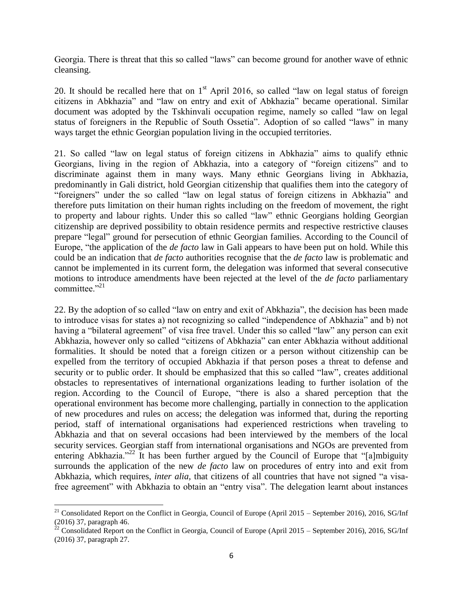Georgia. There is threat that this so called "laws" can become ground for another wave of ethnic cleansing.

20. It should be recalled here that on  $1<sup>st</sup>$  April 2016, so called "law on legal status of foreign citizens in Abkhazia" and "law on entry and exit of Abkhazia" became operational. Similar document was adopted by the Tskhinvali occupation regime, namely so called "law on legal status of foreigners in the Republic of South Ossetia". Adoption of so called "laws" in many ways target the ethnic Georgian population living in the occupied territories.

21. So called "law on legal status of foreign citizens in Abkhazia" aims to qualify ethnic Georgians, living in the region of Abkhazia, into a category of "foreign citizens" and to discriminate against them in many ways. Many ethnic Georgians living in Abkhazia, predominantly in Gali district, hold Georgian citizenship that qualifies them into the category of "foreigners" under the so called "law on legal status of foreign citizens in Abkhazia" and therefore puts limitation on their human rights including on the freedom of movement, the right to property and labour rights. Under this so called "law" ethnic Georgians holding Georgian citizenship are deprived possibility to obtain residence permits and respective restrictive clauses prepare "legal" ground for persecution of ethnic Georgian families. According to the Council of Europe, "the application of the *de facto* law in Gali appears to have been put on hold. While this could be an indication that *de facto* authorities recognise that the *de facto* law is problematic and cannot be implemented in its current form, the delegation was informed that several consecutive motions to introduce amendments have been rejected at the level of the *de facto* parliamentary committee."<sup>21</sup>

22. By the adoption of so called "law on entry and exit of Abkhazia", the decision has been made to introduce visas for states a) not recognizing so called "independence of Abkhazia" and b) not having a "bilateral agreement" of visa free travel. Under this so called "law" any person can exit Abkhazia, however only so called "citizens of Abkhazia" can enter Abkhazia without additional formalities. It should be noted that a foreign citizen or a person without citizenship can be expelled from the territory of occupied Abkhazia if that person poses a threat to defense and security or to public order. It should be emphasized that this so called "law", creates additional obstacles to representatives of international organizations leading to further isolation of the region. According to the Council of Europe, "there is also a shared perception that the operational environment has become more challenging, partially in connection to the application of new procedures and rules on access; the delegation was informed that, during the reporting period, staff of international organisations had experienced restrictions when traveling to Abkhazia and that on several occasions had been interviewed by the members of the local security services. Georgian staff from international organisations and NGOs are prevented from entering Abkhazia."<sup>22</sup> It has been further argued by the Council of Europe that "[a]mbiguity surrounds the application of the new *de facto* law on procedures of entry into and exit from Abkhazia, which requires, *inter alia,* that citizens of all countries that have not signed "a visafree agreement" with Abkhazia to obtain an "entry visa". The delegation learnt about instances

<sup>&</sup>lt;sup>21</sup> Consolidated Report on the Conflict in Georgia, Council of Europe (April 2015 – September 2016), 2016, SG/Inf (2016) 37, paragraph 46.

<sup>&</sup>lt;sup>22</sup> Consolidated Report on the Conflict in Georgia, Council of Europe (April 2015 – September 2016), 2016, SG/Inf (2016) 37, paragraph 27.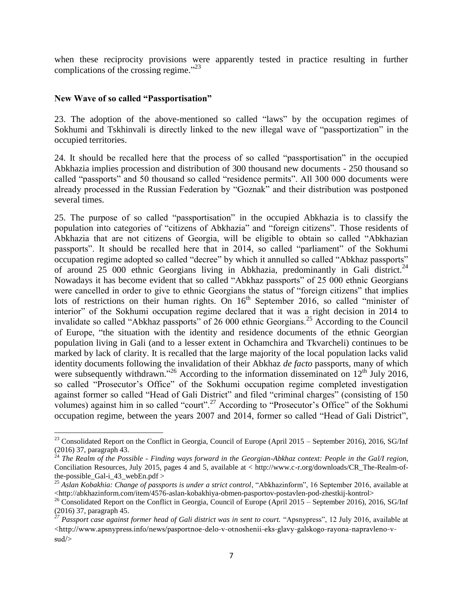when these reciprocity provisions were apparently tested in practice resulting in further complications of the crossing regime."<sup>23</sup>

#### **New Wave of so called "Passportisation"**

l

23. The adoption of the above-mentioned so called "laws" by the occupation regimes of Sokhumi and Tskhinvali is directly linked to the new illegal wave of "passportization" in the occupied territories.

24. It should be recalled here that the process of so called "passportisation" in the occupied Abkhazia implies procession and distribution of 300 thousand new documents - 250 thousand so called "passports" and 50 thousand so called "residence permits". All 300 000 documents were already processed in the Russian Federation by "Goznak" and their distribution was postponed several times.

25. The purpose of so called "passportisation" in the occupied Abkhazia is to classify the population into categories of "citizens of Abkhazia" and "foreign citizens". Those residents of Abkhazia that are not citizens of Georgia, will be eligible to obtain so called "Abkhazian passports". It should be recalled here that in 2014, so called "parliament" of the Sokhumi occupation regime adopted so called "decree" by which it annulled so called "Abkhaz passports" of around 25 000 ethnic Georgians living in Abkhazia, predominantly in Gali district.<sup>24</sup> Nowadays it has become evident that so called "Abkhaz passports" of 25 000 ethnic Georgians were cancelled in order to give to ethnic Georgians the status of "foreign citizens" that implies lots of restrictions on their human rights. On  $16<sup>th</sup>$  September 2016, so called "minister of interior" of the Sokhumi occupation regime declared that it was a right decision in 2014 to invalidate so called "Abkhaz passports" of 26 000 ethnic Georgians.<sup>25</sup> According to the Council of Europe, "the situation with the identity and residence documents of the ethnic Georgian population living in Gali (and to a lesser extent in Ochamchira and Tkvarcheli) continues to be marked by lack of clarity. It is recalled that the large majority of the local population lacks valid identity documents following the invalidation of their Abkhaz *de facto* passports, many of which were subsequently withdrawn."<sup>26</sup> According to the information disseminated on  $12<sup>th</sup>$  July 2016, so called "Prosecutor's Office" of the Sokhumi occupation regime completed investigation against former so called "Head of Gali District" and filed "criminal charges" (consisting of 150 volumes) against him in so called "court".<sup>27</sup> According to "Prosecutor's Office" of the Sokhumi occupation regime, between the years 2007 and 2014, former so called "Head of Gali District",

<sup>&</sup>lt;sup>23</sup> Consolidated Report on the Conflict in Georgia, Council of Europe (April 2015 – September 2016), 2016, SG/Inf (2016) 37, paragraph 43.

<sup>24</sup> *The Realm of the Possible - Finding ways forward in the Georgian-Abkhaz context: People in the Gal/I region,* Conciliation Resources, July 2015, pages 4 and 5, available at < http://www.c-r.org/downloads/CR\_The-Realm-ofthe-possible\_Gal-i\_43\_webEn.pdf >

<sup>25</sup> *Aslan Kobakhia: Change of passports is under a strict control*, "Abkhazinform", 16 September 2016, available at [<http://abkhazinform.com/item/4576-aslan-kobakhiya-obmen-pasportov-postavlen-pod-zhestkij-kontrol>](http://abkhazinform.com/item/4576-aslan-kobakhiya-obmen-pasportov-postavlen-pod-zhestkij-kontrol)

<sup>&</sup>lt;sup>26</sup> Consolidated Report on the Conflict in Georgia, Council of Europe (April 2015 – September 2016), 2016, SG/Inf (2016) 37, paragraph 45.

<sup>&</sup>lt;sup>27</sup> Passport case against former head of Gali district was in sent to court. "Apsnypress", 12 July 2016, available at <[http://www.apsnypress.info/news/pasportnoe-delo-v-otnoshenii-eks-glavy-galskogo-rayona-napravleno-v](http://www.apsnypress.info/news/pasportnoe-delo-v-otnoshenii-eks-glavy-galskogo-rayona-napravleno-v-sud/)[sud/](http://www.apsnypress.info/news/pasportnoe-delo-v-otnoshenii-eks-glavy-galskogo-rayona-napravleno-v-sud/)>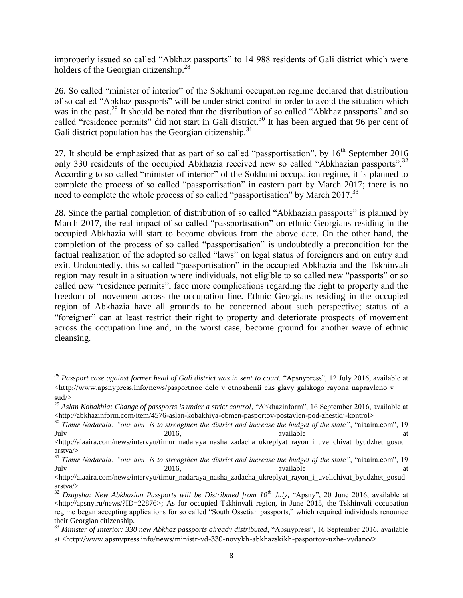improperly issued so called "Abkhaz passports" to 14 988 residents of Gali district which were holders of the Georgian citizenship.<sup>28</sup>

26. So called "minister of interior" of the Sokhumi occupation regime declared that distribution of so called "Abkhaz passports" will be under strict control in order to avoid the situation which was in the past.<sup>29</sup> It should be noted that the distribution of so called "Abkhaz passports" and so called "residence permits" did not start in Gali district.<sup>30</sup> It has been argued that 96 per cent of Gali district population has the Georgian citizenship. $31$ 

27. It should be emphasized that as part of so called "passportisation", by  $16<sup>th</sup>$  September 2016 only 330 residents of the occupied Abkhazia received new so called "Abkhazian passports".<sup>32</sup> According to so called "minister of interior" of the Sokhumi occupation regime, it is planned to complete the process of so called "passportisation" in eastern part by March 2017; there is no need to complete the whole process of so called "passportisation" by March 2017.<sup>33</sup>

28. Since the partial completion of distribution of so called "Abkhazian passports" is planned by March 2017, the real impact of so called "passportisation" on ethnic Georgians residing in the occupied Abkhazia will start to become obvious from the above date. On the other hand, the completion of the process of so called "passportisation" is undoubtedly a precondition for the factual realization of the adopted so called "laws" on legal status of foreigners and on entry and exit. Undoubtedly, this so called "passportisation" in the occupied Abkhazia and the Tskhinvali region may result in a situation where individuals, not eligible to so called new "passports" or so called new "residence permits", face more complications regarding the right to property and the freedom of movement across the occupation line. Ethnic Georgians residing in the occupied region of Abkhazia have all grounds to be concerned about such perspective; status of a "foreigner" can at least restrict their right to property and deteriorate prospects of movement across the occupation line and, in the worst case, become ground for another wave of ethnic cleansing.

*<sup>28</sup> Passport case against former head of Gali district was in sent to court.* "Apsnypress", 12 July 2016, available at <[http://www.apsnypress.info/news/pasportnoe-delo-v-otnoshenii-eks-glavy-galskogo-rayona-napravleno-v](http://www.apsnypress.info/news/pasportnoe-delo-v-otnoshenii-eks-glavy-galskogo-rayona-napravleno-v-sud/)[sud/](http://www.apsnypress.info/news/pasportnoe-delo-v-otnoshenii-eks-glavy-galskogo-rayona-napravleno-v-sud/)>

<sup>&</sup>lt;sup>29</sup> Aslan Kobakhia: Change of passports is under a strict control, "Abkhazinform", 16 September 2016, available at [<http://abkhazinform.com/item/4576-aslan-kobakhiya-obmen-pasportov-postavlen-pod-zhestkij-kontrol>](http://abkhazinform.com/item/4576-aslan-kobakhiya-obmen-pasportov-postavlen-pod-zhestkij-kontrol)

<sup>30</sup> *Timur Nadaraia: "our aim is to strengthen the district and increase the budget of the state"*, "aiaaira.com", 19 July 2016, available at the state at the state at the state at  $2016$ , available at the state at the state at  $2016$ ,

[<sup>&</sup>lt;http://aiaaira.com/news/intervyu/timur\\_nadaraya\\_nasha\\_zadacha\\_ukreplyat\\_rayon\\_i\\_uvelichivat\\_byudzhet\\_gosud](http://aiaaira.com/news/intervyu/timur_nadaraya_nasha_zadacha_ukreplyat_rayon_i_uvelichivat_byudzhet_gosudarstva/) [arstva/>](http://aiaaira.com/news/intervyu/timur_nadaraya_nasha_zadacha_ukreplyat_rayon_i_uvelichivat_byudzhet_gosudarstva/)

<sup>31</sup> *Timur Nadaraia: "our aim is to strengthen the district and increase the budget of the state"*, "aiaaira.com", 19 July 2016, available at the state at the state at the state at  $2016$ , available at the state at the state at  $2016$ ,

[<sup>&</sup>lt;http://aiaaira.com/news/intervyu/timur\\_nadaraya\\_nasha\\_zadacha\\_ukreplyat\\_rayon\\_i\\_uvelichivat\\_byudzhet\\_gosud](http://aiaaira.com/news/intervyu/timur_nadaraya_nasha_zadacha_ukreplyat_rayon_i_uvelichivat_byudzhet_gosudarstva/) [arstva/>](http://aiaaira.com/news/intervyu/timur_nadaraya_nasha_zadacha_ukreplyat_rayon_i_uvelichivat_byudzhet_gosudarstva/)

<sup>&</sup>lt;sup>32</sup> *Dzapsha: New Abkhazian Passports will be Distributed from 10<sup>th</sup> July, "Apsny", 20 June 2016, available at*  $\langle$ http://apsny.ru/news/?ID=22876>; As for occupied Tskhinvali region, in June 2015, the Tskhinvali occupation regime began accepting applications for so called "South Ossetian passports," which required individuals renounce their Georgian citizenship.

<sup>33</sup> *Minister of Interior: 330 new Abkhaz passports already distributed*, "Apsnypress", 16 September 2016, available at <<http://www.apsnypress.info/news/ministr-vd-330-novykh-abkhazskikh-pasportov-uzhe-vydano/>>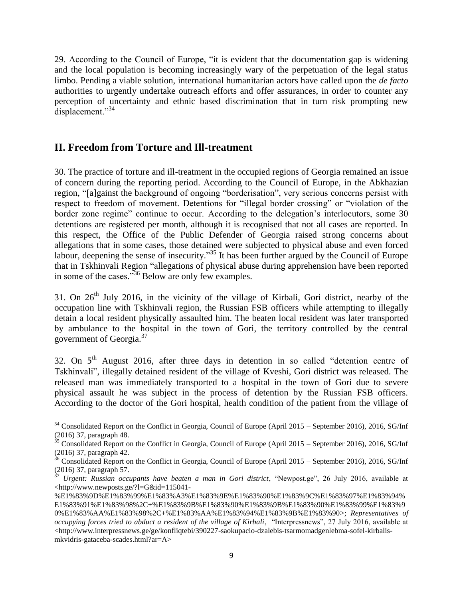29. According to the Council of Europe, "it is evident that the documentation gap is widening and the local population is becoming increasingly wary of the perpetuation of the legal status limbo. Pending a viable solution, international humanitarian actors have called upon the *de facto* authorities to urgently undertake outreach efforts and offer assurances, in order to counter any perception of uncertainty and ethnic based discrimination that in turn risk prompting new displacement."<sup>34</sup>

# **II. Freedom from Torture and Ill-treatment**

 $\overline{a}$ 

30. The practice of torture and ill-treatment in the occupied regions of Georgia remained an issue of concern during the reporting period. According to the Council of Europe, in the Abkhazian region, "[a]gainst the background of ongoing "borderisation", very serious concerns persist with respect to freedom of movement. Detentions for "illegal border crossing" or "violation of the border zone regime" continue to occur. According to the delegation's interlocutors, some 30 detentions are registered per month, although it is recognised that not all cases are reported. In this respect, the Office of the Public Defender of Georgia raised strong concerns about allegations that in some cases, those detained were subjected to physical abuse and even forced labour, deepening the sense of insecurity."<sup>35</sup> It has been further argued by the Council of Europe that in Tskhinvali Region "allegations of physical abuse during apprehension have been reported in some of the cases."<sup>36</sup> Below are only few examples.

31. On  $26<sup>th</sup>$  July 2016, in the vicinity of the village of Kirbali, Gori district, nearby of the occupation line with Tskhinvali region, the Russian FSB officers while attempting to illegally detain a local resident physically assaulted him. The beaten local resident was later transported by ambulance to the hospital in the town of Gori, the territory controlled by the central government of Georgia. $37$ 

32. On  $5<sup>th</sup>$  August 2016, after three days in detention in so called "detention centre of Tskhinvali", illegally detained resident of the village of Kveshi, Gori district was released. The released man was immediately transported to a hospital in the town of Gori due to severe physical assault he was subject in the process of detention by the Russian FSB officers. According to the doctor of the Gori hospital, health condition of the patient from the village of

 $34$  Consolidated Report on the Conflict in Georgia, Council of Europe (April 2015 – September 2016), 2016, SG/Inf (2016) 37, paragraph 48.

<sup>&</sup>lt;sup>35</sup> Consolidated Report on the Conflict in Georgia, Council of Europe (April 2015 – September 2016), 2016, SG/Inf (2016) 37, paragraph 42.

<sup>&</sup>lt;sup>36</sup> Consolidated Report on the Conflict in Georgia, Council of Europe (April 2015 – September 2016), 2016, SG/Inf (2016) 37, paragraph 57.

<sup>37</sup> *Urgent: Russian occupants have beaten a man in Gori district*, "Newpost.ge", 26 July 2016, available at [<http://www.newposts.ge/?l=G&id=115041-](http://www.newposts.ge/?l=G&id=115041-%E1%83%9D%E1%83%99%E1%83%A3%E1%83%9E%E1%83%90%E1%83%9C%E1%83%97%E1%83%94%E1%83%91%E1%83%98%2C+%E1%83%9B%E1%83%90%E1%83%9B%E1%83%90%E1%83%99%E1%83%90%E1%83%AA%E1%83%98%2C+%E1%83%AA%E1%83%94%E1%83%9B%E1%83%90)

[<sup>%</sup>E1%83%9D%E1%83%99%E1%83%A3%E1%83%9E%E1%83%90%E1%83%9C%E1%83%97%E1%83%94%](http://www.newposts.ge/?l=G&id=115041-%E1%83%9D%E1%83%99%E1%83%A3%E1%83%9E%E1%83%90%E1%83%9C%E1%83%97%E1%83%94%E1%83%91%E1%83%98%2C+%E1%83%9B%E1%83%90%E1%83%9B%E1%83%90%E1%83%99%E1%83%90%E1%83%AA%E1%83%98%2C+%E1%83%AA%E1%83%94%E1%83%9B%E1%83%90) [E1%83%91%E1%83%98%2C+%E1%83%9B%E1%83%90%E1%83%9B%E1%83%90%E1%83%99%E1%83%9](http://www.newposts.ge/?l=G&id=115041-%E1%83%9D%E1%83%99%E1%83%A3%E1%83%9E%E1%83%90%E1%83%9C%E1%83%97%E1%83%94%E1%83%91%E1%83%98%2C+%E1%83%9B%E1%83%90%E1%83%9B%E1%83%90%E1%83%99%E1%83%90%E1%83%AA%E1%83%98%2C+%E1%83%AA%E1%83%94%E1%83%9B%E1%83%90) [0%E1%83%AA%E1%83%98%2C+%E1%83%AA%E1%83%94%E1%83%9B%E1%83%90>](http://www.newposts.ge/?l=G&id=115041-%E1%83%9D%E1%83%99%E1%83%A3%E1%83%9E%E1%83%90%E1%83%9C%E1%83%97%E1%83%94%E1%83%91%E1%83%98%2C+%E1%83%9B%E1%83%90%E1%83%9B%E1%83%90%E1%83%99%E1%83%90%E1%83%AA%E1%83%98%2C+%E1%83%AA%E1%83%94%E1%83%9B%E1%83%90); *Representatives of occupying forces tried to abduct a resident of the village of Kirbali*, "Interpressnews", 27 July 2016, available at  $\langle$ http://www.interpressnews.ge/ge/konfliqtebi/390227-saokupacio-dzalebis-tsarmomadgenlebma-sofel-kirbalis[mkvidris-gataceba-scades.html?ar=A>](http://www.interpressnews.ge/ge/konfliqtebi/390227-saokupacio-dzalebis-tsarmomadgenlebma-sofel-kirbalis-mkvidris-gataceba-scades.html?ar=A)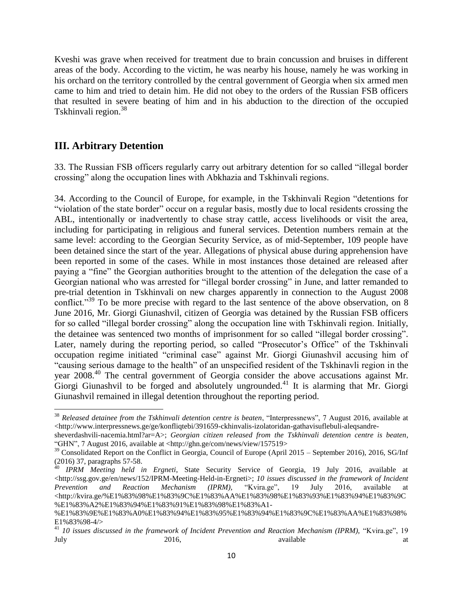Kveshi was grave when received for treatment due to brain concussion and bruises in different areas of the body. According to the victim, he was nearby his house, namely he was working in his orchard on the territory controlled by the central government of Georgia when six armed men came to him and tried to detain him. He did not obey to the orders of the Russian FSB officers that resulted in severe beating of him and in his abduction to the direction of the occupied Tskhinvali region.<sup>38</sup>

# **III. Arbitrary Detention**

33. The Russian FSB officers regularly carry out arbitrary detention for so called "illegal border crossing" along the occupation lines with Abkhazia and Tskhinvali regions.

34. According to the Council of Europe, for example, in the Tskhinvali Region "detentions for "violation of the state border" occur on a regular basis, mostly due to local residents crossing the ABL, intentionally or inadvertently to chase stray cattle, access livelihoods or visit the area, including for participating in religious and funeral services. Detention numbers remain at the same level: according to the Georgian Security Service, as of mid-September, 109 people have been detained since the start of the year. Allegations of physical abuse during apprehension have been reported in some of the cases. While in most instances those detained are released after paying a "fine" the Georgian authorities brought to the attention of the delegation the case of a Georgian national who was arrested for "illegal border crossing" in June, and latter remanded to pre-trial detention in Tskhinvali on new charges apparently in connection to the August 2008 conflict."<sup>39</sup> To be more precise with regard to the last sentence of the above observation, on 8 June 2016, Mr. Giorgi Giunashvil, citizen of Georgia was detained by the Russian FSB officers for so called "illegal border crossing" along the occupation line with Tskhinvali region. Initially, the detainee was sentenced two months of imprisonment for so called "illegal border crossing". Later, namely during the reporting period, so called "Prosecutor's Office" of the Tskhinvali occupation regime initiated "criminal case" against Mr. Giorgi Giunashvil accusing him of "causing serious damage to the health" of an unspecified resident of the Tskhinavli region in the year 2008.<sup>40</sup> The central government of Georgia consider the above accusations against Mr. Giorgi Giunashvil to be forged and absolutely ungrounded.<sup>41</sup> It is alarming that Mr. Giorgi Giunashvil remained in illegal detention throughout the reporting period.

l <sup>38</sup> *Released detainee from the Tskhinvali detention centre is beaten*, "Interpressnews", 7 August 2016, available at  $\langle$ http://www.interpressnews.ge/ge/konfligtebi/391659-ckhinvalis-izolatoridan-gathavisuflebuli-alegsandre-

[sheverdashvili-nacemia.html?ar=A>](http://www.interpressnews.ge/ge/konfliqtebi/391659-ckhinvalis-izolatoridan-gathavisuflebuli-aleqsandre-sheverdashvili-nacemia.html?ar=A); *Georgian citizen released from the Tskhinvali detention centre is beaten*, "GHN", 7 August 2016, available at [<http://ghn.ge/com/news/view/157519>](http://ghn.ge/com/news/view/157519)

<sup>&</sup>lt;sup>39</sup> Consolidated Report on the Conflict in Georgia, Council of Europe (April 2015 – September 2016), 2016, SG/Inf (2016) 37, paragraphs 57-58.

<sup>40</sup> *IPRM Meeting held in Ergneti*, State Security Service of Georgia, 19 July 2016, available at  $\lt$ http://ssg.gov.ge/en/news/152/IPRM-Meeting-Held-in-Ergneti>; 10 *issues discussed in the framework of Incident Prevention and Reaction Mechanism (IPRM),* "Kvira.ge", 19 July 2016, available at [<http://kvira.ge/%E1%83%98%E1%83%9C%E1%83%AA%E1%83%98%E1%83%93%E1%83%94%E1%83%9C](http://kvira.ge/%E1%83%98%E1%83%9C%E1%83%AA%E1%83%98%E1%83%93%E1%83%94%E1%83%9C%E1%83%A2%E1%83%94%E1%83%91%E1%83%98%E1%83%A1-%E1%83%9E%E1%83%A0%E1%83%94%E1%83%95%E1%83%94%E1%83%9C%E1%83%AA%E1%83%98%E1%83%98-4/) [%E1%83%A2%E1%83%94%E1%83%91%E1%83%98%E1%83%A1-](http://kvira.ge/%E1%83%98%E1%83%9C%E1%83%AA%E1%83%98%E1%83%93%E1%83%94%E1%83%9C%E1%83%A2%E1%83%94%E1%83%91%E1%83%98%E1%83%A1-%E1%83%9E%E1%83%A0%E1%83%94%E1%83%95%E1%83%94%E1%83%9C%E1%83%AA%E1%83%98%E1%83%98-4/)

[<sup>%</sup>E1%83%9E%E1%83%A0%E1%83%94%E1%83%95%E1%83%94%E1%83%9C%E1%83%AA%E1%83%98%](http://kvira.ge/%E1%83%98%E1%83%9C%E1%83%AA%E1%83%98%E1%83%93%E1%83%94%E1%83%9C%E1%83%A2%E1%83%94%E1%83%91%E1%83%98%E1%83%A1-%E1%83%9E%E1%83%A0%E1%83%94%E1%83%95%E1%83%94%E1%83%9C%E1%83%AA%E1%83%98%E1%83%98-4/) [E1%83%98-4/>](http://kvira.ge/%E1%83%98%E1%83%9C%E1%83%AA%E1%83%98%E1%83%93%E1%83%94%E1%83%9C%E1%83%A2%E1%83%94%E1%83%91%E1%83%98%E1%83%A1-%E1%83%9E%E1%83%A0%E1%83%94%E1%83%95%E1%83%94%E1%83%9C%E1%83%AA%E1%83%98%E1%83%98-4/)

<sup>41</sup> *10 issues discussed in the framework of Incident Prevention and Reaction Mechanism (IPRM),* "Kvira.ge", 19 July 2016, available at the state at the state at the state at a state at a state at  $2016$ , available at a state at a state at a state at a state at a state at a state at a state at a state at a state at a state at  $2016$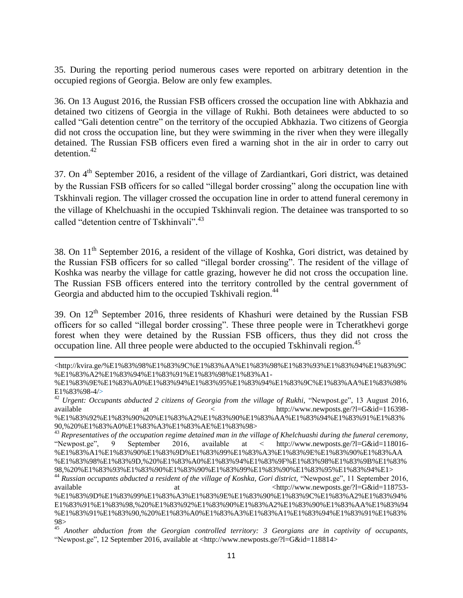35. During the reporting period numerous cases were reported on arbitrary detention in the occupied regions of Georgia. Below are only few examples.

36. On 13 August 2016, the Russian FSB officers crossed the occupation line with Abkhazia and detained two citizens of Georgia in the village of Rukhi. Both detainees were abducted to so called "Gali detention centre" on the territory of the occupied Abkhazia. Two citizens of Georgia did not cross the occupation line, but they were swimming in the river when they were illegally detained. The Russian FSB officers even fired a warning shot in the air in order to carry out detention.<sup>42</sup>

37. On 4<sup>th</sup> September 2016, a resident of the village of Zardiantkari, Gori district, was detained by the Russian FSB officers for so called "illegal border crossing" along the occupation line with Tskhinvali region. The villager crossed the occupation line in order to attend funeral ceremony in the village of Khelchuashi in the occupied Tskhinvali region. The detainee was transported to so called "detention centre of Tskhinvali".<sup>43</sup>

38. On  $11<sup>th</sup>$  September 2016, a resident of the village of Koshka, Gori district, was detained by the Russian FSB officers for so called "illegal border crossing". The resident of the village of Koshka was nearby the village for cattle grazing, however he did not cross the occupation line. The Russian FSB officers entered into the territory controlled by the central government of Georgia and abducted him to the occupied Tskhivali region.<sup>44</sup>

39. On 12<sup>th</sup> September 2016, three residents of Khashuri were detained by the Russian FSB officers for so called "illegal border crossing". These three people were in Tcheratkhevi gorge forest when they were detained by the Russian FSB officers, thus they did not cross the occupation line. All three people were abducted to the occupied Tskhinvali region.<sup>45</sup>

l

<sup>44</sup> *Russian occupants abducted a resident of the village of Koshka, Gori district,* "Newpost.ge", 11 September 2016, available at  $\langle$ http://www.newposts.ge/?l=G&id=118753at  $<$ http://www.newposts.ge/?l=G&id=118753-%E1%83%9D%E1%83%99%E1%83%A3%E1%83%9E%E1%83%90%E1%83%9C%E1%83%A2%E1%83%94%

[<sup>&</sup>lt;http://kvira.ge/%E1%83%98%E1%83%9C%E1%83%AA%E1%83%98%E1%83%93%E1%83%94%E1%83%9C](http://kvira.ge/%E1%83%98%E1%83%9C%E1%83%AA%E1%83%98%E1%83%93%E1%83%94%E1%83%9C%E1%83%A2%E1%83%94%E1%83%91%E1%83%98%E1%83%A1-%E1%83%9E%E1%83%A0%E1%83%94%E1%83%95%E1%83%94%E1%83%9C%E1%83%AA%E1%83%98%E1%83%98-4/) [%E1%83%A2%E1%83%94%E1%83%91%E1%83%98%E1%83%A1-](http://kvira.ge/%E1%83%98%E1%83%9C%E1%83%AA%E1%83%98%E1%83%93%E1%83%94%E1%83%9C%E1%83%A2%E1%83%94%E1%83%91%E1%83%98%E1%83%A1-%E1%83%9E%E1%83%A0%E1%83%94%E1%83%95%E1%83%94%E1%83%9C%E1%83%AA%E1%83%98%E1%83%98-4/)

[<sup>%</sup>E1%83%9E%E1%83%A0%E1%83%94%E1%83%95%E1%83%94%E1%83%9C%E1%83%AA%E1%83%98%](http://kvira.ge/%E1%83%98%E1%83%9C%E1%83%AA%E1%83%98%E1%83%93%E1%83%94%E1%83%9C%E1%83%A2%E1%83%94%E1%83%91%E1%83%98%E1%83%A1-%E1%83%9E%E1%83%A0%E1%83%94%E1%83%95%E1%83%94%E1%83%9C%E1%83%AA%E1%83%98%E1%83%98-4/) [E1%83%98-4/>](http://kvira.ge/%E1%83%98%E1%83%9C%E1%83%AA%E1%83%98%E1%83%93%E1%83%94%E1%83%9C%E1%83%A2%E1%83%94%E1%83%91%E1%83%98%E1%83%A1-%E1%83%9E%E1%83%A0%E1%83%94%E1%83%95%E1%83%94%E1%83%9C%E1%83%AA%E1%83%98%E1%83%98-4/)

<sup>42</sup> *Urgent: Occupants abducted 2 citizens of Georgia from the village of Rukhi,* "Newpost.ge", 13 August 2016, available at  $\langle \text{http://www.newposts.ge/?l=G&id=116398-} \rangle$ %E1%83%92%E1%83%90%20%E1%83%A2%E1%83%90%E1%83%AA%E1%83%94%E1%83%91%E1%83% 90,%20%E1%83%A0%E1%83%A3%E1%83%AE%E1%83%98>

<sup>43</sup> *Representatives of the occupation regime detained man in the village of Khelchuashi during the funeral ceremony,* "Newpost.ge", 9 September 2016, available at < http://www.newposts.ge/?l=G&id=118016- %E1%83%A1%E1%83%90%E1%83%9D%E1%83%99%E1%83%A3%E1%83%9E%E1%83%90%E1%83%AA %E1%83%98%E1%83%9D,%20%E1%83%A0%E1%83%94%E1%83%9F%E1%83%98%E1%83%9B%E1%83% 98,%20%E1%83%93%E1%83%90%E1%83%90%E1%83%99%E1%83%90%E1%83%95%E1%83%94%E1>

E1%83%91%E1%83%98,%20%E1%83%92%E1%83%90%E1%83%A2%E1%83%90%E1%83%AA%E1%83%94 %E1%83%91%E1%83%90,%20%E1%83%A0%E1%83%A3%E1%83%A1%E1%83%94%E1%83%91%E1%83% 98>

<sup>45</sup> *Another abduction from the Georgian controlled territory: 3 Georgians are in captivity of occupants,*  "Newpost.ge", 12 September 2016, available at <http://www.newposts.ge/?l=G&id=118814>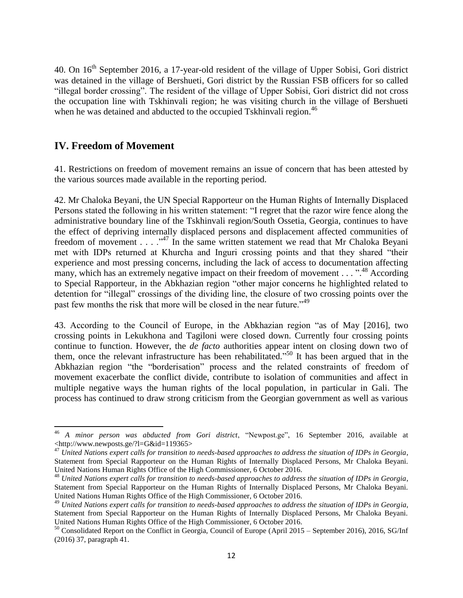40. On 16th September 2016, a 17-year-old resident of the village of Upper Sobisi, Gori district was detained in the village of Bershueti, Gori district by the Russian FSB officers for so called "illegal border crossing". The resident of the village of Upper Sobisi, Gori district did not cross the occupation line with Tskhinvali region; he was visiting church in the village of Bershueti when he was detained and abducted to the occupied Tskhinvali region.<sup>46</sup>

### **IV. Freedom of Movement**

 $\overline{\phantom{a}}$ 

41. Restrictions on freedom of movement remains an issue of concern that has been attested by the various sources made available in the reporting period.

42. Mr Chaloka Beyani, the UN Special Rapporteur on the Human Rights of Internally Displaced Persons stated the following in his written statement: "I regret that the razor wire fence along the administrative boundary line of the Tskhinvali region/South Ossetia, Georgia, continues to have the effect of depriving internally displaced persons and displacement affected communities of freedom of movement  $\ldots$  ...  $^{347}$  In the same written statement we read that Mr Chaloka Beyani met with IDPs returned at Khurcha and Inguri crossing points and that they shared "their experience and most pressing concerns, including the lack of access to documentation affecting many, which has an extremely negative impact on their freedom of movement . . . ".<sup>48</sup> According to Special Rapporteur, in the Abkhazian region "other major concerns he highlighted related to detention for "illegal" crossings of the dividing line, the closure of two crossing points over the past few months the risk that more will be closed in the near future."<sup>49</sup>

43. According to the Council of Europe, in the Abkhazian region "as of May [2016], two crossing points in Lekukhona and Tagiloni were closed down. Currently four crossing points continue to function. However, the *de facto* authorities appear intent on closing down two of them, once the relevant infrastructure has been rehabilitated." <sup>50</sup> It has been argued that in the Abkhazian region "the "borderisation" process and the related constraints of freedom of movement exacerbate the conflict divide, contribute to isolation of communities and affect in multiple negative ways the human rights of the local population, in particular in Gali. The process has continued to draw strong criticism from the Georgian government as well as various

<sup>46</sup> *A minor person was abducted from Gori district*, "Newpost.ge", 16 September 2016, available at <http://www.newposts.ge/?l=G&id=119365>

<sup>47</sup> *United Nations expert calls for transition to needs-based approaches to address the situation of IDPs in Georgia*, Statement from Special Rapporteur on the Human Rights of Internally Displaced Persons, Mr Chaloka Beyani. United Nations Human Rights Office of the High Commissioner, 6 October 2016.

<sup>48</sup> *United Nations expert calls for transition to needs-based approaches to address the situation of IDPs in Georgia*, Statement from Special Rapporteur on the Human Rights of Internally Displaced Persons, Mr Chaloka Beyani. United Nations Human Rights Office of the High Commissioner, 6 October 2016.

<sup>49</sup> *United Nations expert calls for transition to needs-based approaches to address the situation of IDPs in Georgia*, Statement from Special Rapporteur on the Human Rights of Internally Displaced Persons, Mr Chaloka Beyani. United Nations Human Rights Office of the High Commissioner, 6 October 2016.

<sup>50</sup> Consolidated Report on the Conflict in Georgia, Council of Europe (April 2015 – September 2016), 2016, SG/Inf (2016) 37, paragraph 41.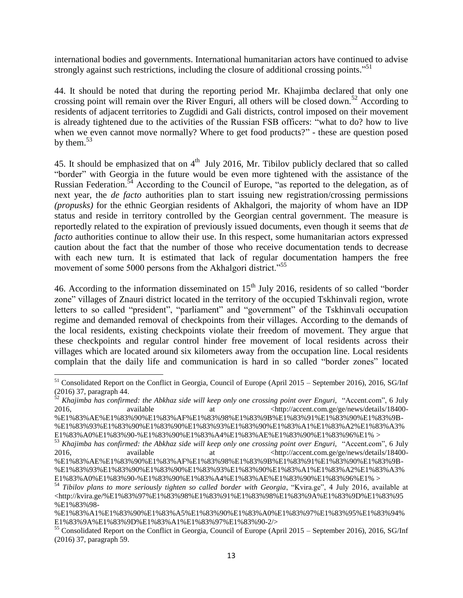international bodies and governments. International humanitarian actors have continued to advise strongly against such restrictions, including the closure of additional crossing points."<sup>51</sup>

44. It should be noted that during the reporting period Mr. Khajimba declared that only one crossing point will remain over the River Enguri, all others will be closed down.<sup>52</sup> According to residents of adjacent territories to Zugdidi and Gali districts, control imposed on their movement is already tightened due to the activities of the Russian FSB officers: "what to do? how to live when we even cannot move normally? Where to get food products?" - these are question posed by them. $53$ 

45. It should be emphasized that on  $4<sup>th</sup>$  July 2016, Mr. Tibilov publicly declared that so called "border" with Georgia in the future would be even more tightened with the assistance of the Russian Federation.<sup>54</sup> According to the Council of Europe, "as reported to the delegation, as of next year, the *de facto* authorities plan to start issuing new registration/crossing permissions *(propusks)* for the ethnic Georgian residents of Akhalgori, the majority of whom have an IDP status and reside in territory controlled by the Georgian central government. The measure is reportedly related to the expiration of previously issued documents, even though it seems that *de facto* authorities continue to allow their use. In this respect, some humanitarian actors expressed caution about the fact that the number of those who receive documentation tends to decrease with each new turn. It is estimated that lack of regular documentation hampers the free movement of some 5000 persons from the Akhalgori district."<sup>55</sup>

46. According to the information disseminated on  $15<sup>th</sup>$  July 2016, residents of so called "border" zone" villages of Znauri district located in the territory of the occupied Tskhinvali region, wrote letters to so called "president", "parliament" and "government" of the Tskhinvali occupation regime and demanded removal of checkpoints from their villages. According to the demands of the local residents, existing checkpoints violate their freedom of movement. They argue that these checkpoints and regular control hinder free movement of local residents across their villages which are located around six kilometers away from the occupation line. Local residents complain that the daily life and communication is hard in so called "border zones" located

<sup>&</sup>lt;sup>51</sup> Consolidated Report on the Conflict in Georgia, Council of Europe (April 2015 – September 2016), 2016, SG/Inf (2016) 37, paragraph 44.

<sup>52</sup> *Khajimba has confirmed: the Abkhaz side will keep only one crossing point over Enguri,* "Accent.com", 6 July 2016, available at  $\frac{\text{at}}{\text{at}}$  at  $\frac{\text{at}}{\text{at}}$  and  $\frac{\text{at}}{\text{at}}$  at  $\frac{\text{at}}{\text{at}}$  and  $\frac{\text{at}}{\text{at}}$  and  $\frac{\text{at}}{\text{at}}$  and  $\frac{\text{at}}{\text{at}}$  and  $\frac{\text{at}}{\text{at}}$  and  $\frac{\text{at}}{\text{at}}$  and  $\frac{\text{at}}{\text{at}}$  and  $\frac{\text{at}}{\text{at}}$ 

[<sup>%</sup>E1%83%AE%E1%83%90%E1%83%AF%E1%83%98%E1%83%9B%E1%83%91%E1%83%90%E1%83%9B-](http://accent.com.ge/ge/news/details/18400-%E1%83%AE%E1%83%90%E1%83%AF%E1%83%98%E1%83%9B%E1%83%91%E1%83%90%E1%83%9B-%E1%83%93%E1%83%90%E1%83%90%E1%83%93%E1%83%90%E1%83%A1%E1%83%A2%E1%83%A3%E1%83%A0%E1%83%90-%E1%83%90%E1%83%A4%E1%83%AE%E1%83%90%E1%83%96%E1%25) [%E1%83%93%E1%83%90%E1%83%90%E1%83%93%E1%83%90%E1%83%A1%E1%83%A2%E1%83%A3%](http://accent.com.ge/ge/news/details/18400-%E1%83%AE%E1%83%90%E1%83%AF%E1%83%98%E1%83%9B%E1%83%91%E1%83%90%E1%83%9B-%E1%83%93%E1%83%90%E1%83%90%E1%83%93%E1%83%90%E1%83%A1%E1%83%A2%E1%83%A3%E1%83%A0%E1%83%90-%E1%83%90%E1%83%A4%E1%83%AE%E1%83%90%E1%83%96%E1%25) [E1%83%A0%E1%83%90-%E1%83%90%E1%83%A4%E1%83%AE%E1%83%90%E1%83%96%E1%](http://accent.com.ge/ge/news/details/18400-%E1%83%AE%E1%83%90%E1%83%AF%E1%83%98%E1%83%9B%E1%83%91%E1%83%90%E1%83%9B-%E1%83%93%E1%83%90%E1%83%90%E1%83%93%E1%83%90%E1%83%A1%E1%83%A2%E1%83%A3%E1%83%A0%E1%83%90-%E1%83%90%E1%83%A4%E1%83%AE%E1%83%90%E1%83%96%E1%25) >

<sup>53</sup> *Khajimba has confirmed: the Abkhaz side will keep only one crossing point over Enguri,* "Accent.com", 6 July 2016, available at the strategy and the settler  $\langle \text{http://account.com.ge/ge/news/details/18400-100}\rangle$ [%E1%83%AE%E1%83%90%E1%83%AF%E1%83%98%E1%83%9B%E1%83%91%E1%83%90%E1%83%9B-](http://accent.com.ge/ge/news/details/18400-%E1%83%AE%E1%83%90%E1%83%AF%E1%83%98%E1%83%9B%E1%83%91%E1%83%90%E1%83%9B-%E1%83%93%E1%83%90%E1%83%90%E1%83%93%E1%83%90%E1%83%A1%E1%83%A2%E1%83%A3%E1%83%A0%E1%83%90-%E1%83%90%E1%83%A4%E1%83%AE%E1%83%90%E1%83%96%E1%25)

[<sup>%</sup>E1%83%93%E1%83%90%E1%83%90%E1%83%93%E1%83%90%E1%83%A1%E1%83%A2%E1%83%A3%](http://accent.com.ge/ge/news/details/18400-%E1%83%AE%E1%83%90%E1%83%AF%E1%83%98%E1%83%9B%E1%83%91%E1%83%90%E1%83%9B-%E1%83%93%E1%83%90%E1%83%90%E1%83%93%E1%83%90%E1%83%A1%E1%83%A2%E1%83%A3%E1%83%A0%E1%83%90-%E1%83%90%E1%83%A4%E1%83%AE%E1%83%90%E1%83%96%E1%25) [E1%83%A0%E1%83%90-%E1%83%90%E1%83%A4%E1%83%AE%E1%83%90%E1%83%96%E1%](http://accent.com.ge/ge/news/details/18400-%E1%83%AE%E1%83%90%E1%83%AF%E1%83%98%E1%83%9B%E1%83%91%E1%83%90%E1%83%9B-%E1%83%93%E1%83%90%E1%83%90%E1%83%93%E1%83%90%E1%83%A1%E1%83%A2%E1%83%A3%E1%83%A0%E1%83%90-%E1%83%90%E1%83%A4%E1%83%AE%E1%83%90%E1%83%96%E1%25) >

<sup>54</sup> *Tibilov plans to more seriously tighten so called border with Georgia*, "Kvira.ge", 4 July 2016, available at [<http://kvira.ge/%E1%83%97%E1%83%98%E1%83%91%E1%83%98%E1%83%9A%E1%83%9D%E1%83%95](http://kvira.ge/%E1%83%97%E1%83%98%E1%83%91%E1%83%98%E1%83%9A%E1%83%9D%E1%83%95%E1%83%98-%E1%83%A1%E1%83%90%E1%83%A5%E1%83%90%E1%83%A0%E1%83%97%E1%83%95%E1%83%94%E1%83%9A%E1%83%9D%E1%83%A1%E1%83%97%E1%83%90-2/) [%E1%83%98-](http://kvira.ge/%E1%83%97%E1%83%98%E1%83%91%E1%83%98%E1%83%9A%E1%83%9D%E1%83%95%E1%83%98-%E1%83%A1%E1%83%90%E1%83%A5%E1%83%90%E1%83%A0%E1%83%97%E1%83%95%E1%83%94%E1%83%9A%E1%83%9D%E1%83%A1%E1%83%97%E1%83%90-2/)

[<sup>%</sup>E1%83%A1%E1%83%90%E1%83%A5%E1%83%90%E1%83%A0%E1%83%97%E1%83%95%E1%83%94%](http://kvira.ge/%E1%83%97%E1%83%98%E1%83%91%E1%83%98%E1%83%9A%E1%83%9D%E1%83%95%E1%83%98-%E1%83%A1%E1%83%90%E1%83%A5%E1%83%90%E1%83%A0%E1%83%97%E1%83%95%E1%83%94%E1%83%9A%E1%83%9D%E1%83%A1%E1%83%97%E1%83%90-2/) [E1%83%9A%E1%83%9D%E1%83%A1%E1%83%97%E1%83%90-2/>](http://kvira.ge/%E1%83%97%E1%83%98%E1%83%91%E1%83%98%E1%83%9A%E1%83%9D%E1%83%95%E1%83%98-%E1%83%A1%E1%83%90%E1%83%A5%E1%83%90%E1%83%A0%E1%83%97%E1%83%95%E1%83%94%E1%83%9A%E1%83%9D%E1%83%A1%E1%83%97%E1%83%90-2/)

<sup>55</sup> Consolidated Report on the Conflict in Georgia, Council of Europe (April 2015 – September 2016), 2016, SG/Inf (2016) 37, paragraph 59.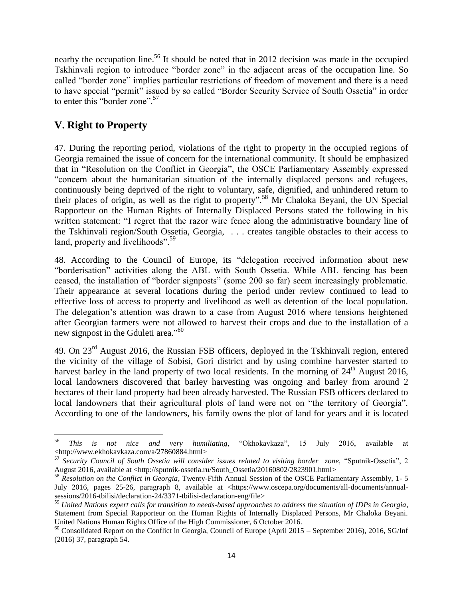nearby the occupation line.<sup>56</sup> It should be noted that in 2012 decision was made in the occupied Tskhinvali region to introduce "border zone" in the adjacent areas of the occupation line. So called "border zone" implies particular restrictions of freedom of movement and there is a need to have special "permit" issued by so called "Border Security Service of South Ossetia" in order to enter this "border zone".<sup>57</sup>

# **V. Right to Property**

47. During the reporting period, violations of the right to property in the occupied regions of Georgia remained the issue of concern for the international community. It should be emphasized that in "Resolution on the Conflict in Georgia", the OSCE Parliamentary Assembly expressed "concern about the humanitarian situation of the internally displaced persons and refugees, continuously being deprived of the right to voluntary, safe, dignified, and unhindered return to their places of origin, as well as the right to property".<sup>58</sup> Mr Chaloka Beyani, the UN Special Rapporteur on the Human Rights of Internally Displaced Persons stated the following in his written statement: "I regret that the razor wire fence along the administrative boundary line of the Tskhinvali region/South Ossetia, Georgia, . . . creates tangible obstacles to their access to land, property and livelihoods".<sup>59</sup>

48. According to the Council of Europe, its "delegation received information about new "borderisation" activities along the ABL with South Ossetia. While ABL fencing has been ceased, the installation of "border signposts" (some 200 so far) seem increasingly problematic. Their appearance at several locations during the period under review continued to lead to effective loss of access to property and livelihood as well as detention of the local population. The delegation's attention was drawn to a case from August 2016 where tensions heightened after Georgian farmers were not allowed to harvest their crops and due to the installation of a new signpost in the Gduleti area."<sup>60</sup>

49. On 23<sup>rd</sup> August 2016, the Russian FSB officers, deployed in the Tskhinvali region, entered the vicinity of the village of Sobisi, Gori district and by using combine harvester started to harvest barley in the land property of two local residents. In the morning of 24<sup>th</sup> August 2016, local landowners discovered that barley harvesting was ongoing and barley from around 2 hectares of their land property had been already harvested. The Russian FSB officers declared to local landowners that their agricultural plots of land were not on "the territory of Georgia". According to one of the landowners, his family owns the plot of land for years and it is located

<sup>56</sup> <sup>56</sup> *This is not nice and very humiliating*, "Okhokavkaza", 15 July 2016, available at <http://www.ekhokavkaza.com/a/27860884.html>

<sup>57</sup> Security Council of South Ossetia will consider issues related to visiting border zone, "Sputnik-Ossetia", 2 August 2016, available at [<http://sputnik-ossetia.ru/South\\_Ossetia/20160802/2823901.html>](http://sputnik-ossetia.ru/South_Ossetia/20160802/2823901.html)

<sup>58</sup> *Resolution on the Conflict in Georgia,* Twenty-Fifth Annual Session of the OSCE Parliamentary Assembly, 1- 5 July 2016, pages 25-26, paragraph 8, available at <https://www.oscepa.org/documents/all-documents/annualsessions/2016-tbilisi/declaration-24/3371-tbilisi-declaration-eng/file>

<sup>59</sup> *United Nations expert calls for transition to needs-based approaches to address the situation of IDPs in Georgia*, Statement from Special Rapporteur on the Human Rights of Internally Displaced Persons, Mr Chaloka Beyani. United Nations Human Rights Office of the High Commissioner, 6 October 2016.

 $60$  Consolidated Report on the Conflict in Georgia, Council of Europe (April 2015 – September 2016), 2016, SG/Inf (2016) 37, paragraph 54.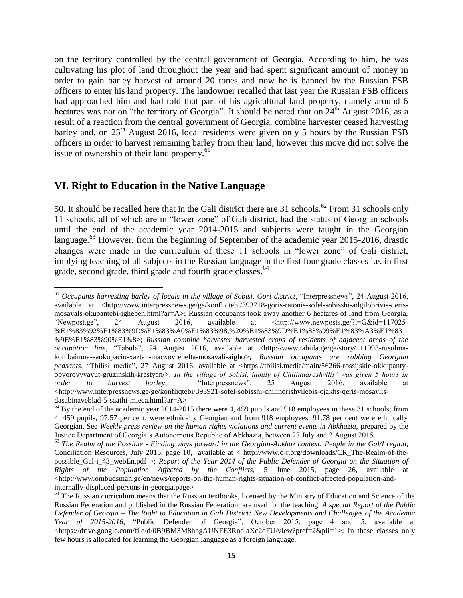on the territory controlled by the central government of Georgia. According to him, he was cultivating his plot of land throughout the year and had spent significant amount of money in order to gain barley harvest of around 20 tones and now he is banned by the Russian FSB officers to enter his land property. The landowner recalled that last year the Russian FSB officers had approached him and had told that part of his agricultural land property, namely around 6 hectares was not on "the territory of Georgia". It should be noted that on  $24<sup>th</sup>$  August 2016, as a result of a reaction from the central government of Georgia, combine harvester ceased harvesting barley and, on  $25<sup>th</sup>$  August 2016, local residents were given only 5 hours by the Russian FSB officers in order to harvest remaining barley from their land, however this move did not solve the issue of ownership of their land property.<sup>61</sup>

## **VI. Right to Education in the Native Language**

 $\overline{\phantom{a}}$ 

50. It should be recalled here that in the Gali district there are 31 schools.<sup>62</sup> From 31 schools only 11 schools, all of which are in "lower zone" of Gali district, had the status of Georgian schools until the end of the academic year 2014-2015 and subjects were taught in the Georgian language.<sup>63</sup> However, from the beginning of September of the academic year 2015-2016, drastic changes were made in the curriculum of these 11 schools in "lower zone" of Gali district, implying teaching of all subjects in the Russian language in the first four grade classes i.e. in first grade, second grade, third grade and fourth grade classes.<sup>64</sup>

<sup>&</sup>lt;sup>61</sup> Occupants harvesting barley of locals in the village of Sobisi, Gori district, "Interpressnews", 24 August 2016, available at <http://www.interpressnews.ge/ge/konfliqtebi/393718-goris-raionis-sofel-sobisshi-adgilobrivis-qerismosavals-okupantebi-igheben.html?ar=A>; Russian occupants took away another 6 hectares of land from Georgia, "Newpost.ge", 24 August 2016, available at <http://www.newposts.ge/?l=G&id=117025- %E1%83%92%E1%83%9D%E1%83%A0%E1%83%98,%20%E1%83%9D%E1%83%99%E1%83%A3%E1%83 %9E%E1%83%90%E1%8>; *Russian combine harvester harvested crops of residents of adjacent areas of the occupation line*, "Tabula", 24 August 2016, available at <http://www.tabula.ge/ge/story/111093-rusulmakombainma-saokupacio-xaztan-macxovrebelta-mosavali-aigho>; *Russian occupants are robbing Georgian peasants*, "Tbilisi media", 27 August 2016, available at [<https://tbilisi.media/main/56266-rossijskie-okkupanty](https://tbilisi.media/main/56266-rossijskie-okkupanty-obvorovyvayut-gruzinskih-krestyan/)[obvorovyvayut-gruzinskih-krestyan/>](https://tbilisi.media/main/56266-rossijskie-okkupanty-obvorovyvayut-gruzinskih-krestyan/); *In the village of Sobisi, family of Chilindarashvilis' was given 5 hours in order to harvest barley*, "Interpressnews", 25 August 2016, available at  $\langle$ http://www.interpressnews.ge/ge/konfliqtebi/393921-sofel-sobisshi-chilindrishvilebis-ojakhs-qeris-mosavlisdasabinaveblad-5-saathi-mieca.html?ar=A>

 $^{62}$  By the end of the academic year 2014-2015 there were 4, 459 pupils and 918 employees in these 31 schools; from 4, 459 pupils, 97.57 per cent, were ethnically Georgian and from 918 employees, 91.78 per cent were ethnically Georgian. See *Weekly press review on the human rights violations and current events in Abkhazia,* prepared by the Justice Department of Georgia's Autonomous Republic of Abkhazia, between 27 July and 2 August 2015.

<sup>63</sup> *The Realm of the Possible - Finding ways forward in the Georgian-Abkhaz context: People in the Gal/I region,* Conciliation Resources, July 2015, page 10, available at < http://www.c-r.org/downloads/CR\_The-Realm-of-thepossible\_Gal-i\_43\_webEn.pdf >; *Report of the Year 2014 of the Public Defender of Georgia on the Situation of Rights of the Population Affected by the Conflicts*, 5 June 2015, page 26, available at  $\langle$ http://www.ombudsman.ge/en/news/reports-on-the-human-rights-situation-of-conflict-affected-population-andinternally-displaced-persons-in-georgia.page>

<sup>&</sup>lt;sup>64</sup> The Russian curriculum means that the Russian textbooks, licensed by the Ministry of Education and Science of the Russian Federation and published in the Russian Federation, are used for the teaching. *A special Report of the Public Defender of Georgia – The Right to Education in Gali District: New Developments and Challenges of the Academic Year of 2015-2016*, "Public Defender of Georgia", October 2015, page 4 and 5, available at <https://drive.google.com/file/d/0B9BM3M8hbgAUNFE3RndlaXc2dFU/view?pref=2&pli=1>; In these classes only few hours is allocated for learning the Georgian language as a foreign language.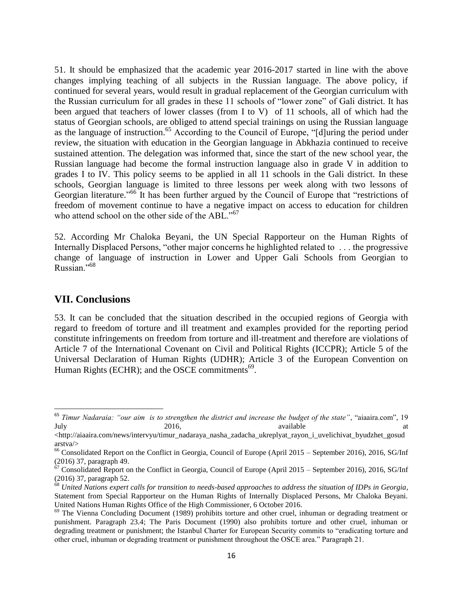51. It should be emphasized that the academic year 2016-2017 started in line with the above changes implying teaching of all subjects in the Russian language. The above policy, if continued for several years, would result in gradual replacement of the Georgian curriculum with the Russian curriculum for all grades in these 11 schools of "lower zone" of Gali district. It has been argued that teachers of lower classes (from I to V) of 11 schools, all of which had the status of Georgian schools, are obliged to attend special trainings on using the Russian language as the language of instruction.<sup>65</sup> According to the Council of Europe, "[d]uring the period under review, the situation with education in the Georgian language in Abkhazia continued to receive sustained attention. The delegation was informed that, since the start of the new school year, the Russian language had become the formal instruction language also in grade V in addition to grades I to IV. This policy seems to be applied in all 11 schools in the Gali district. In these schools, Georgian language is limited to three lessons per week along with two lessons of Georgian literature."<sup>66</sup> It has been further argued by the Council of Europe that "restrictions of freedom of movement continue to have a negative impact on access to education for children who attend school on the other side of the ABL."<sup>67</sup>

52. According Mr Chaloka Beyani, the UN Special Rapporteur on the Human Rights of Internally Displaced Persons, "other major concerns he highlighted related to . . . the progressive change of language of instruction in Lower and Upper Gali Schools from Georgian to Russian."<sup>68</sup>

#### **VII. Conclusions**

 $\overline{\phantom{a}}$ 

53. It can be concluded that the situation described in the occupied regions of Georgia with regard to freedom of torture and ill treatment and examples provided for the reporting period constitute infringements on freedom from torture and ill-treatment and therefore are violations of Article 7 of the International Covenant on Civil and Political Rights (ICCPR); Article 5 of the Universal Declaration of Human Rights (UDHR); Article 3 of the European Convention on Human Rights (ECHR); and the OSCE commitments $^{69}$ .

<sup>65</sup> *Timur Nadaraia: "our aim is to strengthen the district and increase the budget of the state"*, "aiaaira.com", 19 July 2016, available at the state at the state at the state at a state at a state at  $2016$ , available at a state at a state at a state at a state at a state at a state at a state at a state at a state at a state at  $2016$ 

[<sup>&</sup>lt;http://aiaaira.com/news/intervyu/timur\\_nadaraya\\_nasha\\_zadacha\\_ukreplyat\\_rayon\\_i\\_uvelichivat\\_byudzhet\\_gosud](http://aiaaira.com/news/intervyu/timur_nadaraya_nasha_zadacha_ukreplyat_rayon_i_uvelichivat_byudzhet_gosudarstva/) [arstva/>](http://aiaaira.com/news/intervyu/timur_nadaraya_nasha_zadacha_ukreplyat_rayon_i_uvelichivat_byudzhet_gosudarstva/)

<sup>&</sup>lt;sup>66</sup> Consolidated Report on the Conflict in Georgia, Council of Europe (April 2015 – September 2016), 2016, SG/Inf (2016) 37, paragraph 49.

 $67$  Consolidated Report on the Conflict in Georgia, Council of Europe (April 2015 – September 2016), 2016, SG/Inf (2016) 37, paragraph 52.

<sup>68</sup> *United Nations expert calls for transition to needs-based approaches to address the situation of IDPs in Georgia*, Statement from Special Rapporteur on the Human Rights of Internally Displaced Persons, Mr Chaloka Beyani. United Nations Human Rights Office of the High Commissioner, 6 October 2016.

 $69$  The Vienna Concluding Document (1989) prohibits torture and other cruel, inhuman or degrading treatment or punishment. Paragraph 23.4; The Paris Document (1990) also prohibits torture and other cruel, inhuman or degrading treatment or punishment; the Istanbul Charter for European Security commits to "eradicating torture and other cruel, inhuman or degrading treatment or punishment throughout the OSCE area." Paragraph 21.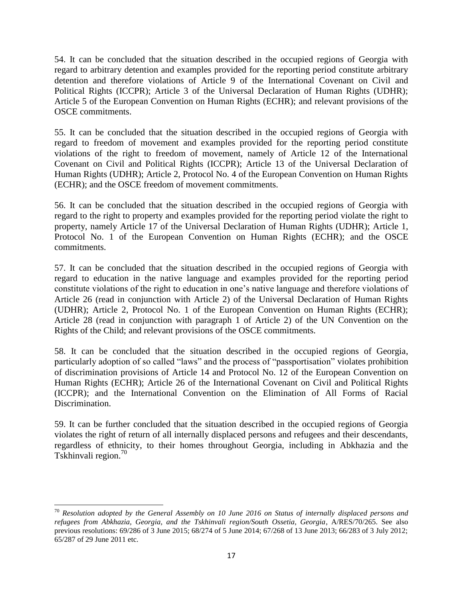54. It can be concluded that the situation described in the occupied regions of Georgia with regard to arbitrary detention and examples provided for the reporting period constitute arbitrary detention and therefore violations of Article 9 of the International Covenant on Civil and Political Rights (ICCPR); Article 3 of the Universal Declaration of Human Rights (UDHR); Article 5 of the European Convention on Human Rights (ECHR); and relevant provisions of the OSCE commitments.

55. It can be concluded that the situation described in the occupied regions of Georgia with regard to freedom of movement and examples provided for the reporting period constitute violations of the right to freedom of movement, namely of Article 12 of the International Covenant on Civil and Political Rights (ICCPR); Article 13 of the Universal Declaration of Human Rights (UDHR); Article 2, Protocol No. 4 of the European Convention on Human Rights (ECHR); and the OSCE freedom of movement commitments.

56. It can be concluded that the situation described in the occupied regions of Georgia with regard to the right to property and examples provided for the reporting period violate the right to property, namely Article 17 of the Universal Declaration of Human Rights (UDHR); Article 1, Protocol No. 1 of the European Convention on Human Rights (ECHR); and the OSCE commitments.

57. It can be concluded that the situation described in the occupied regions of Georgia with regard to education in the native language and examples provided for the reporting period constitute violations of the right to education in one's native language and therefore violations of Article 26 (read in conjunction with Article 2) of the Universal Declaration of Human Rights (UDHR); Article 2, Protocol No. 1 of the European Convention on Human Rights (ECHR); Article 28 (read in conjunction with paragraph 1 of Article 2) of the UN Convention on the Rights of the Child; and relevant provisions of the OSCE commitments.

58. It can be concluded that the situation described in the occupied regions of Georgia, particularly adoption of so called "laws" and the process of "passportisation" violates prohibition of discrimination provisions of Article 14 and Protocol No. 12 of the European Convention on Human Rights (ECHR); Article 26 of the International Covenant on Civil and Political Rights (ICCPR); and the International Convention on the Elimination of All Forms of Racial Discrimination.

59. It can be further concluded that the situation described in the occupied regions of Georgia violates the right of return of all internally displaced persons and refugees and their descendants, regardless of ethnicity, to their homes throughout Georgia, including in Abkhazia and the Tskhinvali region.<sup>70</sup>

<sup>70</sup> *Resolution adopted by the General Assembly on 10 June 2016 on Status of internally displaced persons and refugees from Abkhazia, Georgia, and the Tskhinvali region/South Ossetia, Georgia*, A/RES/70/265. See also previous resolutions: 69/286 of 3 June 2015; 68/274 of 5 June 2014; 67/268 of 13 June 2013; 66/283 of 3 July 2012; 65/287 of 29 June 2011 etc.